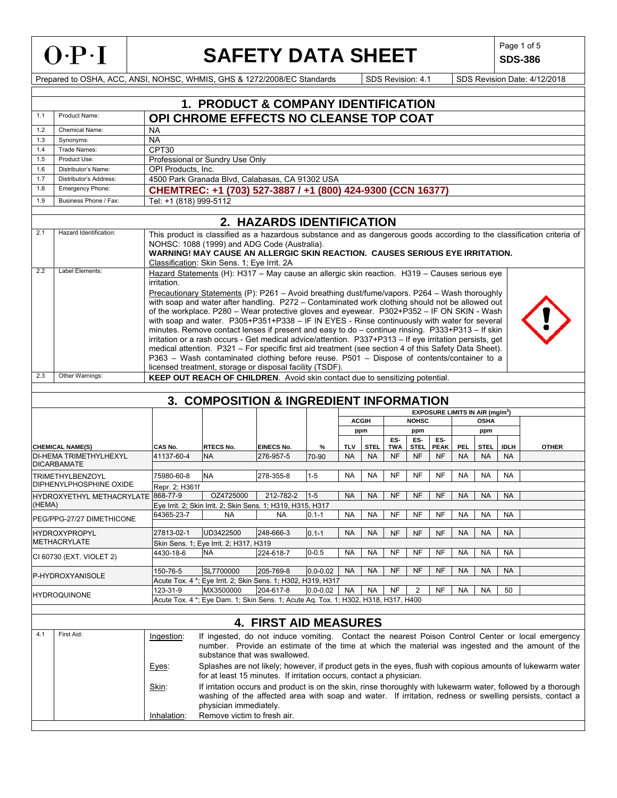

# SAFETY DATA SHEET SDS-386

**SDS-386** 

|        |                                                     |                                                                                                                                                                                                                                                                                                       | <b>1. PRODUCT &amp; COMPANY IDENTIFICATION</b>                                                                                                                                                                                                                                                                                                                                                                                                                                                                                                                                                                                                                                                                                                                                                                                                                                                                      |                              |              |            |                     |            |              |             |           |                                                  |             |                                                                                                                                                                                                                                                                                                                      |
|--------|-----------------------------------------------------|-------------------------------------------------------------------------------------------------------------------------------------------------------------------------------------------------------------------------------------------------------------------------------------------------------|---------------------------------------------------------------------------------------------------------------------------------------------------------------------------------------------------------------------------------------------------------------------------------------------------------------------------------------------------------------------------------------------------------------------------------------------------------------------------------------------------------------------------------------------------------------------------------------------------------------------------------------------------------------------------------------------------------------------------------------------------------------------------------------------------------------------------------------------------------------------------------------------------------------------|------------------------------|--------------|------------|---------------------|------------|--------------|-------------|-----------|--------------------------------------------------|-------------|----------------------------------------------------------------------------------------------------------------------------------------------------------------------------------------------------------------------------------------------------------------------------------------------------------------------|
| 1.1    | Product Name:                                       |                                                                                                                                                                                                                                                                                                       | OPI CHROME EFFECTS NO CLEANSE TOP COAT                                                                                                                                                                                                                                                                                                                                                                                                                                                                                                                                                                                                                                                                                                                                                                                                                                                                              |                              |              |            |                     |            |              |             |           |                                                  |             |                                                                                                                                                                                                                                                                                                                      |
| 1.2    | Chemical Name:                                      | <b>NA</b>                                                                                                                                                                                                                                                                                             |                                                                                                                                                                                                                                                                                                                                                                                                                                                                                                                                                                                                                                                                                                                                                                                                                                                                                                                     |                              |              |            |                     |            |              |             |           |                                                  |             |                                                                                                                                                                                                                                                                                                                      |
| 1.3    | Synonyms:                                           | <b>NA</b>                                                                                                                                                                                                                                                                                             |                                                                                                                                                                                                                                                                                                                                                                                                                                                                                                                                                                                                                                                                                                                                                                                                                                                                                                                     |                              |              |            |                     |            |              |             |           |                                                  |             |                                                                                                                                                                                                                                                                                                                      |
| 1.4    | Trade Names:                                        | CPT30                                                                                                                                                                                                                                                                                                 |                                                                                                                                                                                                                                                                                                                                                                                                                                                                                                                                                                                                                                                                                                                                                                                                                                                                                                                     |                              |              |            |                     |            |              |             |           |                                                  |             |                                                                                                                                                                                                                                                                                                                      |
| 1.5    | Product Use:                                        |                                                                                                                                                                                                                                                                                                       | Professional or Sundry Use Only                                                                                                                                                                                                                                                                                                                                                                                                                                                                                                                                                                                                                                                                                                                                                                                                                                                                                     |                              |              |            |                     |            |              |             |           |                                                  |             |                                                                                                                                                                                                                                                                                                                      |
| 1.6    | Distributor's Name:                                 |                                                                                                                                                                                                                                                                                                       | OPI Products, Inc.                                                                                                                                                                                                                                                                                                                                                                                                                                                                                                                                                                                                                                                                                                                                                                                                                                                                                                  |                              |              |            |                     |            |              |             |           |                                                  |             |                                                                                                                                                                                                                                                                                                                      |
| 1.7    | Distributor's Address:                              |                                                                                                                                                                                                                                                                                                       | 4500 Park Granada Blvd, Calabasas, CA 91302 USA                                                                                                                                                                                                                                                                                                                                                                                                                                                                                                                                                                                                                                                                                                                                                                                                                                                                     |                              |              |            |                     |            |              |             |           |                                                  |             |                                                                                                                                                                                                                                                                                                                      |
| 1.8    | Emergency Phone:                                    |                                                                                                                                                                                                                                                                                                       | CHEMTREC: +1 (703) 527-3887 / +1 (800) 424-9300 (CCN 16377)                                                                                                                                                                                                                                                                                                                                                                                                                                                                                                                                                                                                                                                                                                                                                                                                                                                         |                              |              |            |                     |            |              |             |           |                                                  |             |                                                                                                                                                                                                                                                                                                                      |
| 1.9    | Business Phone / Fax:                               | Tel: +1 (818) 999-5112                                                                                                                                                                                                                                                                                |                                                                                                                                                                                                                                                                                                                                                                                                                                                                                                                                                                                                                                                                                                                                                                                                                                                                                                                     |                              |              |            |                     |            |              |             |           |                                                  |             |                                                                                                                                                                                                                                                                                                                      |
|        |                                                     |                                                                                                                                                                                                                                                                                                       |                                                                                                                                                                                                                                                                                                                                                                                                                                                                                                                                                                                                                                                                                                                                                                                                                                                                                                                     |                              |              |            |                     |            |              |             |           |                                                  |             |                                                                                                                                                                                                                                                                                                                      |
|        |                                                     |                                                                                                                                                                                                                                                                                                       |                                                                                                                                                                                                                                                                                                                                                                                                                                                                                                                                                                                                                                                                                                                                                                                                                                                                                                                     | 2. HAZARDS IDENTIFICATION    |              |            |                     |            |              |             |           |                                                  |             |                                                                                                                                                                                                                                                                                                                      |
| 2.1    | Hazard Identification:                              | This product is classified as a hazardous substance and as dangerous goods according to the classification criteria of<br>NOHSC: 1088 (1999) and ADG Code (Australia).<br>WARNING! MAY CAUSE AN ALLERGIC SKIN REACTION. CAUSES SERIOUS EYE IRRITATION.<br>Classification: Skin Sens. 1; Eye Irrit. 2A |                                                                                                                                                                                                                                                                                                                                                                                                                                                                                                                                                                                                                                                                                                                                                                                                                                                                                                                     |                              |              |            |                     |            |              |             |           |                                                  |             |                                                                                                                                                                                                                                                                                                                      |
| 2.2    | Label Elements:                                     | irritation.<br>licensed treatment, storage or disposal facility (TSDF).                                                                                                                                                                                                                               | Hazard Statements (H): H317 - May cause an allergic skin reaction. H319 - Causes serious eye<br>Precautionary Statements (P): P261 - Avoid breathing dust/fume/vapors. P264 - Wash thoroughly<br>with soap and water after handling. P272 - Contaminated work clothing should not be allowed out<br>of the workplace. P280 - Wear protective gloves and eyewear. P302+P352 - IF ON SKIN - Wash<br>with soap and water. P305+P351+P338 - IF IN EYES - Rinse continuously with water for several<br>minutes. Remove contact lenses if present and easy to do - continue rinsing. P333+P313 - If skin<br>irritation or a rash occurs - Get medical advice/attention. P337+P313 - If eye irritation persists, get<br>medical attention. P321 - For specific first aid treatment (see section 4 of this Safety Data Sheet).<br>P363 - Wash contaminated clothing before reuse. P501 - Dispose of contents/container to a |                              |              |            |                     |            |              |             |           |                                                  |             |                                                                                                                                                                                                                                                                                                                      |
| 2.3    | Other Warnings:                                     |                                                                                                                                                                                                                                                                                                       |                                                                                                                                                                                                                                                                                                                                                                                                                                                                                                                                                                                                                                                                                                                                                                                                                                                                                                                     |                              |              |            |                     |            |              |             |           |                                                  |             |                                                                                                                                                                                                                                                                                                                      |
|        |                                                     |                                                                                                                                                                                                                                                                                                       | KEEP OUT REACH OF CHILDREN. Avoid skin contact due to sensitizing potential.                                                                                                                                                                                                                                                                                                                                                                                                                                                                                                                                                                                                                                                                                                                                                                                                                                        |                              |              |            |                     |            |              |             |           |                                                  |             |                                                                                                                                                                                                                                                                                                                      |
|        |                                                     |                                                                                                                                                                                                                                                                                                       |                                                                                                                                                                                                                                                                                                                                                                                                                                                                                                                                                                                                                                                                                                                                                                                                                                                                                                                     |                              |              |            |                     |            |              |             |           |                                                  |             |                                                                                                                                                                                                                                                                                                                      |
|        |                                                     |                                                                                                                                                                                                                                                                                                       | <b>3. COMPOSITION &amp; INGREDIENT INFORMATION</b>                                                                                                                                                                                                                                                                                                                                                                                                                                                                                                                                                                                                                                                                                                                                                                                                                                                                  |                              |              |            |                     |            |              |             |           |                                                  |             |                                                                                                                                                                                                                                                                                                                      |
|        |                                                     |                                                                                                                                                                                                                                                                                                       |                                                                                                                                                                                                                                                                                                                                                                                                                                                                                                                                                                                                                                                                                                                                                                                                                                                                                                                     |                              |              |            |                     |            | <b>NOHSC</b> |             |           | <b>EXPOSURE LIMITS IN AIR (mg/m<sup>3</sup>)</b> |             |                                                                                                                                                                                                                                                                                                                      |
|        |                                                     |                                                                                                                                                                                                                                                                                                       |                                                                                                                                                                                                                                                                                                                                                                                                                                                                                                                                                                                                                                                                                                                                                                                                                                                                                                                     |                              |              |            | <b>ACGIH</b><br>ppm |            | ppm          |             |           | <b>OSHA</b>                                      |             |                                                                                                                                                                                                                                                                                                                      |
|        |                                                     |                                                                                                                                                                                                                                                                                                       |                                                                                                                                                                                                                                                                                                                                                                                                                                                                                                                                                                                                                                                                                                                                                                                                                                                                                                                     |                              |              |            |                     | ES-        | ES-          | ES-         |           | ppm                                              |             |                                                                                                                                                                                                                                                                                                                      |
|        | <b>CHEMICAL NAME(S)</b>                             | CAS No.                                                                                                                                                                                                                                                                                               | <b>RTECS No.</b>                                                                                                                                                                                                                                                                                                                                                                                                                                                                                                                                                                                                                                                                                                                                                                                                                                                                                                    | <b>EINECS No.</b>            | %            | <b>TLV</b> | <b>STEL</b>         | <b>TWA</b> | <b>STEL</b>  | <b>PEAK</b> | PEL       | <b>STEL</b>                                      | <b>IDLH</b> | <b>OTHER</b>                                                                                                                                                                                                                                                                                                         |
|        | <b>DI-HEMA TRIMETHYLHEXYL</b><br><b>DICARBAMATE</b> | 41137-60-4                                                                                                                                                                                                                                                                                            | <b>NA</b>                                                                                                                                                                                                                                                                                                                                                                                                                                                                                                                                                                                                                                                                                                                                                                                                                                                                                                           | 276-957-5                    | 70-90        | <b>NA</b>  | <b>NA</b>           | NF         | <b>NF</b>    | <b>NF</b>   | <b>NA</b> | <b>NA</b>                                        | <b>NA</b>   |                                                                                                                                                                                                                                                                                                                      |
|        | <b>TRIMETHYLBENZOYL</b>                             | 75980-60-8                                                                                                                                                                                                                                                                                            | <b>NA</b>                                                                                                                                                                                                                                                                                                                                                                                                                                                                                                                                                                                                                                                                                                                                                                                                                                                                                                           | 278-355-8                    | $1-5$        | <b>NA</b>  | <b>NA</b>           | NF         | NF           | <b>NF</b>   | <b>NA</b> | <b>NA</b>                                        | NA          |                                                                                                                                                                                                                                                                                                                      |
|        | DIPHENYLPHOSPHINE OXIDE                             | Repr. 2; H361f                                                                                                                                                                                                                                                                                        |                                                                                                                                                                                                                                                                                                                                                                                                                                                                                                                                                                                                                                                                                                                                                                                                                                                                                                                     |                              |              |            |                     |            |              |             |           |                                                  |             |                                                                                                                                                                                                                                                                                                                      |
|        | HYDROXYETHYL METHACRYLATE 868-77-9                  |                                                                                                                                                                                                                                                                                                       | OZ4725000                                                                                                                                                                                                                                                                                                                                                                                                                                                                                                                                                                                                                                                                                                                                                                                                                                                                                                           | 212-782-2                    | $1 - 5$      | <b>NA</b>  | <b>NA</b>           | <b>NF</b>  | <b>NF</b>    | <b>NF</b>   | <b>NA</b> | <b>NA</b>                                        | <b>NA</b>   |                                                                                                                                                                                                                                                                                                                      |
| (HEMA) |                                                     |                                                                                                                                                                                                                                                                                                       | Eye Irrit. 2; Skin Irrit. 2; Skin Sens. 1; H319, H315, H317                                                                                                                                                                                                                                                                                                                                                                                                                                                                                                                                                                                                                                                                                                                                                                                                                                                         |                              |              |            |                     |            |              |             |           |                                                  |             |                                                                                                                                                                                                                                                                                                                      |
|        | PEG/PPG-27/27 DIMETHICONE                           | 64365-23-7                                                                                                                                                                                                                                                                                            | <b>NA</b>                                                                                                                                                                                                                                                                                                                                                                                                                                                                                                                                                                                                                                                                                                                                                                                                                                                                                                           | <b>NA</b>                    | $0.1 - 1$    | <b>NA</b>  | <b>NA</b>           | NF         | NF           | NF          | <b>NA</b> | NA                                               | NA          |                                                                                                                                                                                                                                                                                                                      |
|        |                                                     |                                                                                                                                                                                                                                                                                                       | UD3422500                                                                                                                                                                                                                                                                                                                                                                                                                                                                                                                                                                                                                                                                                                                                                                                                                                                                                                           | 248-666-3                    |              | <b>NA</b>  |                     |            |              |             |           |                                                  |             |                                                                                                                                                                                                                                                                                                                      |
|        | <b>HYDROXYPROPYL</b><br><b>METHACRYLATE</b>         | 27813-02-1                                                                                                                                                                                                                                                                                            | Skin Sens. 1; Eye Irrit. 2; H317, H319                                                                                                                                                                                                                                                                                                                                                                                                                                                                                                                                                                                                                                                                                                                                                                                                                                                                              |                              | $0.1 - 1$    |            | <b>NA</b>           | <b>NF</b>  | <b>NF</b>    | <b>NF</b>   | <b>NA</b> | <b>NA</b>                                        | NA          |                                                                                                                                                                                                                                                                                                                      |
|        |                                                     | 4430-18-6                                                                                                                                                                                                                                                                                             | <b>NA</b>                                                                                                                                                                                                                                                                                                                                                                                                                                                                                                                                                                                                                                                                                                                                                                                                                                                                                                           | 224-618-7                    | $0 - 0.5$    | <b>NA</b>  | <b>NA</b>           | <b>NF</b>  | NF           | <b>NF</b>   | <b>NA</b> | <b>NA</b>                                        | <b>NA</b>   |                                                                                                                                                                                                                                                                                                                      |
|        | CI 60730 (EXT. VIOLET 2)                            |                                                                                                                                                                                                                                                                                                       |                                                                                                                                                                                                                                                                                                                                                                                                                                                                                                                                                                                                                                                                                                                                                                                                                                                                                                                     |                              |              |            |                     |            |              |             |           |                                                  |             |                                                                                                                                                                                                                                                                                                                      |
|        | P-HYDROXYANISOLE                                    | 150-76-5                                                                                                                                                                                                                                                                                              | SL7700000                                                                                                                                                                                                                                                                                                                                                                                                                                                                                                                                                                                                                                                                                                                                                                                                                                                                                                           | 205-769-8                    | $0.0 - 0.02$ | <b>NA</b>  | <b>NA</b>           | NF         | <b>NF</b>    | NF          | <b>NA</b> | <b>NA</b>                                        | NA          |                                                                                                                                                                                                                                                                                                                      |
|        |                                                     |                                                                                                                                                                                                                                                                                                       | Acute Tox. 4 *; Eye Irrit. 2; Skin Sens. 1; H302, H319, H317                                                                                                                                                                                                                                                                                                                                                                                                                                                                                                                                                                                                                                                                                                                                                                                                                                                        |                              |              |            |                     |            |              |             |           |                                                  | 50          |                                                                                                                                                                                                                                                                                                                      |
|        | <b>HYDROQUINONE</b>                                 | 123-31-9                                                                                                                                                                                                                                                                                              | MX3500000<br>Acute Tox. 4 *; Eye Dam. 1; Skin Sens. 1; Acute Aq. Tox. 1; H302, H318, H317, H400                                                                                                                                                                                                                                                                                                                                                                                                                                                                                                                                                                                                                                                                                                                                                                                                                     | 204-617-8                    | $0.0 - 0.02$ | <b>NA</b>  | <b>NA</b>           | NF         | 2            | NF          | <b>NA</b> | <b>NA</b>                                        |             |                                                                                                                                                                                                                                                                                                                      |
|        |                                                     |                                                                                                                                                                                                                                                                                                       |                                                                                                                                                                                                                                                                                                                                                                                                                                                                                                                                                                                                                                                                                                                                                                                                                                                                                                                     |                              |              |            |                     |            |              |             |           |                                                  |             |                                                                                                                                                                                                                                                                                                                      |
|        |                                                     |                                                                                                                                                                                                                                                                                                       |                                                                                                                                                                                                                                                                                                                                                                                                                                                                                                                                                                                                                                                                                                                                                                                                                                                                                                                     | <b>4. FIRST AID MEASURES</b> |              |            |                     |            |              |             |           |                                                  |             |                                                                                                                                                                                                                                                                                                                      |
|        |                                                     |                                                                                                                                                                                                                                                                                                       |                                                                                                                                                                                                                                                                                                                                                                                                                                                                                                                                                                                                                                                                                                                                                                                                                                                                                                                     |                              |              |            |                     |            |              |             |           |                                                  |             |                                                                                                                                                                                                                                                                                                                      |
| 4.1    | First Aid:                                          | Ingestion:<br>Eyes:                                                                                                                                                                                                                                                                                   | substance that was swallowed.                                                                                                                                                                                                                                                                                                                                                                                                                                                                                                                                                                                                                                                                                                                                                                                                                                                                                       |                              |              |            |                     |            |              |             |           |                                                  |             | If ingested, do not induce vomiting. Contact the nearest Poison Control Center or local emergency<br>number. Provide an estimate of the time at which the material was ingested and the amount of the<br>Splashes are not likely; however, if product gets in the eyes, flush with copious amounts of lukewarm water |
|        |                                                     | Skin:                                                                                                                                                                                                                                                                                                 | for at least 15 minutes. If irritation occurs, contact a physician.<br>physician immediately.                                                                                                                                                                                                                                                                                                                                                                                                                                                                                                                                                                                                                                                                                                                                                                                                                       |                              |              |            |                     |            |              |             |           |                                                  |             | If irritation occurs and product is on the skin, rinse thoroughly with lukewarm water, followed by a thorough<br>washing of the affected area with soap and water. If irritation, redness or swelling persists, contact a                                                                                            |
|        |                                                     | Inhalation:                                                                                                                                                                                                                                                                                           | Remove victim to fresh air.                                                                                                                                                                                                                                                                                                                                                                                                                                                                                                                                                                                                                                                                                                                                                                                                                                                                                         |                              |              |            |                     |            |              |             |           |                                                  |             |                                                                                                                                                                                                                                                                                                                      |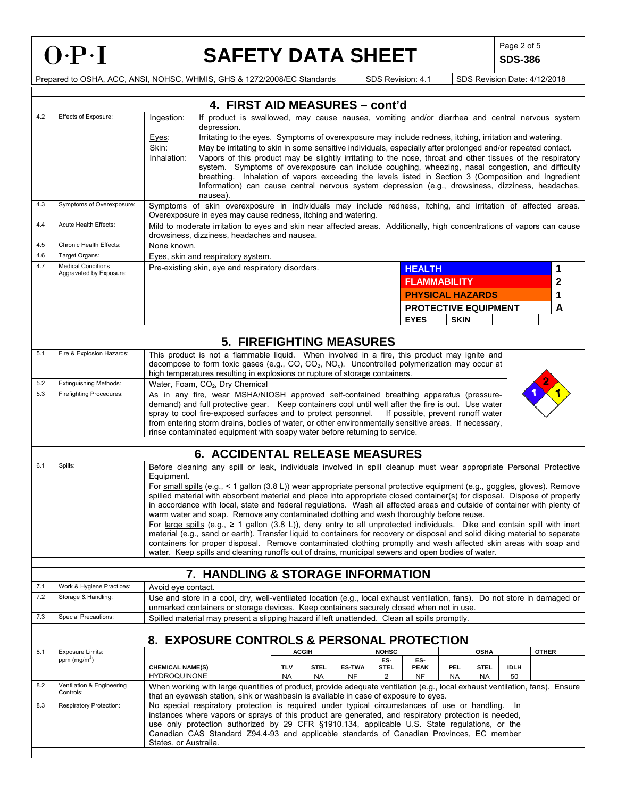

# SAFETY DATA SHEET SDS-386

**SDS-386** 

|     | 4. FIRST AID MEASURES - cont'd                                                           |                                                                                                                                                                                                                                                                |                                                                                                                                                                                                                         |               |                    |                                   |             |             |             |              |             |
|-----|------------------------------------------------------------------------------------------|----------------------------------------------------------------------------------------------------------------------------------------------------------------------------------------------------------------------------------------------------------------|-------------------------------------------------------------------------------------------------------------------------------------------------------------------------------------------------------------------------|---------------|--------------------|-----------------------------------|-------------|-------------|-------------|--------------|-------------|
| 4.2 | Effects of Exposure:                                                                     | If product is swallowed, may cause nausea, vomiting and/or diarrhea and central nervous system<br>Ingestion:                                                                                                                                                   |                                                                                                                                                                                                                         |               |                    |                                   |             |             |             |              |             |
|     |                                                                                          | depression.                                                                                                                                                                                                                                                    |                                                                                                                                                                                                                         |               |                    |                                   |             |             |             |              |             |
|     |                                                                                          | Eyes:<br>Skin:                                                                                                                                                                                                                                                 | Irritating to the eyes. Symptoms of overexposure may include redness, itching, irritation and watering.<br>May be irritating to skin in some sensitive individuals, especially after prolonged and/or repeated contact. |               |                    |                                   |             |             |             |              |             |
|     |                                                                                          | Inhalation:                                                                                                                                                                                                                                                    | Vapors of this product may be slightly irritating to the nose, throat and other tissues of the respiratory                                                                                                              |               |                    |                                   |             |             |             |              |             |
|     |                                                                                          | system. Symptoms of overexposure can include coughing, wheezing, nasal congestion, and difficulty                                                                                                                                                              |                                                                                                                                                                                                                         |               |                    |                                   |             |             |             |              |             |
|     |                                                                                          | breathing. Inhalation of vapors exceeding the levels listed in Section 3 (Composition and Ingredient<br>Information) can cause central nervous system depression (e.g., drowsiness, dizziness, headaches,                                                      |                                                                                                                                                                                                                         |               |                    |                                   |             |             |             |              |             |
|     |                                                                                          | nausea).                                                                                                                                                                                                                                                       |                                                                                                                                                                                                                         |               |                    |                                   |             |             |             |              |             |
| 4.3 | Symptoms of Overexposure:                                                                | Symptoms of skin overexposure in individuals may include redness, itching, and irritation of affected areas.                                                                                                                                                   |                                                                                                                                                                                                                         |               |                    |                                   |             |             |             |              |             |
|     | Acute Health Effects:                                                                    | Overexposure in eyes may cause redness, itching and watering.                                                                                                                                                                                                  |                                                                                                                                                                                                                         |               |                    |                                   |             |             |             |              |             |
| 4.4 |                                                                                          | Mild to moderate irritation to eyes and skin near affected areas. Additionally, high concentrations of vapors can cause<br>drowsiness, dizziness, headaches and nausea.                                                                                        |                                                                                                                                                                                                                         |               |                    |                                   |             |             |             |              |             |
| 4.5 | <b>Chronic Health Effects:</b>                                                           | None known.                                                                                                                                                                                                                                                    |                                                                                                                                                                                                                         |               |                    |                                   |             |             |             |              |             |
| 4.6 | Target Organs:                                                                           | Eyes, skin and respiratory system.                                                                                                                                                                                                                             |                                                                                                                                                                                                                         |               |                    |                                   |             |             |             |              |             |
| 4.7 | <b>Medical Conditions</b><br>Aggravated by Exposure:                                     | Pre-existing skin, eye and respiratory disorders.                                                                                                                                                                                                              |                                                                                                                                                                                                                         |               |                    | <b>HEALTH</b>                     |             |             |             |              | 1           |
|     |                                                                                          |                                                                                                                                                                                                                                                                |                                                                                                                                                                                                                         |               |                    | <b>FLAMMABILITY</b>               |             |             |             |              | $\mathbf 2$ |
|     |                                                                                          |                                                                                                                                                                                                                                                                |                                                                                                                                                                                                                         |               |                    | <b>PHYSICAL HAZARDS</b>           |             |             |             |              | 1           |
|     |                                                                                          |                                                                                                                                                                                                                                                                |                                                                                                                                                                                                                         |               |                    | <b>PROTECTIVE EQUIPMENT</b>       |             |             |             |              | A           |
|     |                                                                                          |                                                                                                                                                                                                                                                                |                                                                                                                                                                                                                         |               |                    | <b>EYES</b>                       | <b>SKIN</b> |             |             |              |             |
|     |                                                                                          |                                                                                                                                                                                                                                                                |                                                                                                                                                                                                                         |               |                    |                                   |             |             |             |              |             |
|     |                                                                                          |                                                                                                                                                                                                                                                                | <b>5. FIREFIGHTING MEASURES</b>                                                                                                                                                                                         |               |                    |                                   |             |             |             |              |             |
| 5.1 | Fire & Explosion Hazards:                                                                | This product is not a flammable liquid. When involved in a fire, this product may ignite and<br>decompose to form toxic gases (e.g., CO, CO <sub>2</sub> , NO <sub>x</sub> ). Uncontrolled polymerization may occur at                                         |                                                                                                                                                                                                                         |               |                    |                                   |             |             |             |              |             |
|     |                                                                                          | high temperatures resulting in explosions or rupture of storage containers.                                                                                                                                                                                    |                                                                                                                                                                                                                         |               |                    |                                   |             |             |             |              |             |
| 5.2 | <b>Extinguishing Methods:</b>                                                            | Water, Foam, CO <sub>2</sub> , Dry Chemical                                                                                                                                                                                                                    |                                                                                                                                                                                                                         |               |                    |                                   |             |             |             |              |             |
| 5.3 | <b>Firefighting Procedures:</b>                                                          | As in any fire, wear MSHA/NIOSH approved self-contained breathing apparatus (pressure-                                                                                                                                                                         |                                                                                                                                                                                                                         |               |                    |                                   |             |             |             |              |             |
|     |                                                                                          | demand) and full protective gear. Keep containers cool until well after the fire is out. Use water<br>spray to cool fire-exposed surfaces and to protect personnel.                                                                                            |                                                                                                                                                                                                                         |               |                    | If possible, prevent runoff water |             |             |             |              |             |
|     |                                                                                          | from entering storm drains, bodies of water, or other environmentally sensitive areas. If necessary,                                                                                                                                                           |                                                                                                                                                                                                                         |               |                    |                                   |             |             |             |              |             |
|     |                                                                                          | rinse contaminated equipment with soapy water before returning to service.                                                                                                                                                                                     |                                                                                                                                                                                                                         |               |                    |                                   |             |             |             |              |             |
|     |                                                                                          | <b>6. ACCIDENTAL RELEASE MEASURES</b>                                                                                                                                                                                                                          |                                                                                                                                                                                                                         |               |                    |                                   |             |             |             |              |             |
| 6.1 | Spills:                                                                                  | Before cleaning any spill or leak, individuals involved in spill cleanup must wear appropriate Personal Protective                                                                                                                                             |                                                                                                                                                                                                                         |               |                    |                                   |             |             |             |              |             |
|     |                                                                                          | Equipment.                                                                                                                                                                                                                                                     |                                                                                                                                                                                                                         |               |                    |                                   |             |             |             |              |             |
|     |                                                                                          | For small spills (e.g., < 1 gallon (3.8 L)) wear appropriate personal protective equipment (e.g., goggles, gloves). Remove<br>spilled material with absorbent material and place into appropriate closed container(s) for disposal. Dispose of properly        |                                                                                                                                                                                                                         |               |                    |                                   |             |             |             |              |             |
|     |                                                                                          | in accordance with local, state and federal regulations. Wash all affected areas and outside of container with plenty of                                                                                                                                       |                                                                                                                                                                                                                         |               |                    |                                   |             |             |             |              |             |
|     |                                                                                          |                                                                                                                                                                                                                                                                | warm water and soap. Remove any contaminated clothing and wash thoroughly before reuse.                                                                                                                                 |               |                    |                                   |             |             |             |              |             |
|     |                                                                                          | For large spills (e.g., $\geq 1$ gallon (3.8 L)), deny entry to all unprotected individuals. Dike and contain spill with inert<br>material (e.g., sand or earth). Transfer liquid to containers for recovery or disposal and solid diking material to separate |                                                                                                                                                                                                                         |               |                    |                                   |             |             |             |              |             |
|     |                                                                                          | containers for proper disposal. Remove contaminated clothing promptly and wash affected skin areas with soap and                                                                                                                                               |                                                                                                                                                                                                                         |               |                    |                                   |             |             |             |              |             |
|     |                                                                                          | water. Keep spills and cleaning runoffs out of drains, municipal sewers and open bodies of water.                                                                                                                                                              |                                                                                                                                                                                                                         |               |                    |                                   |             |             |             |              |             |
|     |                                                                                          | 7. HANDLING & STORAGE INFORMATION                                                                                                                                                                                                                              |                                                                                                                                                                                                                         |               |                    |                                   |             |             |             |              |             |
| 7.1 | Work & Hygiene Practices:                                                                | Avoid eye contact.                                                                                                                                                                                                                                             |                                                                                                                                                                                                                         |               |                    |                                   |             |             |             |              |             |
| 7.2 | Storage & Handling:                                                                      | Use and store in a cool, dry, well-ventilated location (e.g., local exhaust ventilation, fans). Do not store in damaged or                                                                                                                                     |                                                                                                                                                                                                                         |               |                    |                                   |             |             |             |              |             |
|     |                                                                                          | unmarked containers or storage devices. Keep containers securely closed when not in use.                                                                                                                                                                       |                                                                                                                                                                                                                         |               |                    |                                   |             |             |             |              |             |
| 7.3 | <b>Special Precautions:</b>                                                              | Spilled material may present a slipping hazard if left unattended. Clean all spills promptly.                                                                                                                                                                  |                                                                                                                                                                                                                         |               |                    |                                   |             |             |             |              |             |
|     |                                                                                          | 8. EXPOSURE CONTROLS & PERSONAL PROTECTION                                                                                                                                                                                                                     |                                                                                                                                                                                                                         |               |                    |                                   |             |             |             |              |             |
| 8.1 | <b>Exposure Limits:</b>                                                                  |                                                                                                                                                                                                                                                                | <b>ACGIH</b>                                                                                                                                                                                                            |               | <b>NOHSC</b>       |                                   |             | <b>OSHA</b> |             | <b>OTHER</b> |             |
|     | ppm (mg/m <sup>3</sup> )                                                                 | <b>CHEMICAL NAME(S)</b>                                                                                                                                                                                                                                        | <b>TLV</b><br><b>STEL</b>                                                                                                                                                                                               | <b>ES-TWA</b> | ES-<br><b>STEL</b> | ES-<br><b>PEAK</b>                | PEL         | <b>STEL</b> | <b>IDLH</b> |              |             |
|     |                                                                                          | <b>HYDROQUINONE</b>                                                                                                                                                                                                                                            | <b>NA</b><br><b>NA</b>                                                                                                                                                                                                  | <b>NF</b>     | 2                  | <b>NF</b>                         | <b>NA</b>   | NA          | 50          |              |             |
| 8.2 | Ventilation & Engineering<br>Controls:                                                   | When working with large quantities of product, provide adequate ventilation (e.g., local exhaust ventilation, fans). Ensure<br>that an eyewash station, sink or washbasin is available in case of exposure to eyes.                                            |                                                                                                                                                                                                                         |               |                    |                                   |             |             |             |              |             |
| 8.3 | Respiratory Protection:                                                                  | No special respiratory protection is required under typical circumstances of use or handling.<br>instances where vapors or sprays of this product are generated, and respiratory protection is needed,                                                         |                                                                                                                                                                                                                         |               |                    |                                   |             |             | -In         |              |             |
|     |                                                                                          | use only protection authorized by 29 CFR §1910.134, applicable U.S. State regulations, or the                                                                                                                                                                  |                                                                                                                                                                                                                         |               |                    |                                   |             |             |             |              |             |
|     | Canadian CAS Standard Z94.4-93 and applicable standards of Canadian Provinces, EC member |                                                                                                                                                                                                                                                                |                                                                                                                                                                                                                         |               |                    |                                   |             |             |             |              |             |
|     | States, or Australia.                                                                    |                                                                                                                                                                                                                                                                |                                                                                                                                                                                                                         |               |                    |                                   |             |             |             |              |             |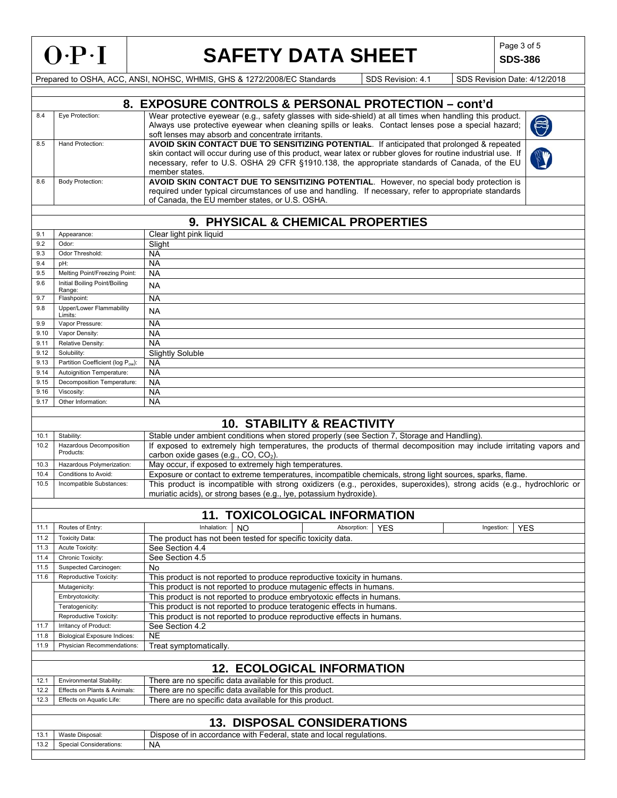9.16 Viscosity: NA 9.17 Other Information: NA

# SAFETY DATA SHEET SDS-386

**SDS-386** 

|     | 8. EXPOSURE CONTROLS & PERSONAL PROTECTION - cont'd |                                                                                                                                                                                                                                                                                                                                 |            |  |  |  |
|-----|-----------------------------------------------------|---------------------------------------------------------------------------------------------------------------------------------------------------------------------------------------------------------------------------------------------------------------------------------------------------------------------------------|------------|--|--|--|
| 8.4 | Eve Protection:                                     | Wear protective eyewear (e.g., safety glasses with side-shield) at all times when handling this product.<br>Always use protective eyewear when cleaning spills or leaks. Contact lenses pose a special hazard;<br>soft lenses may absorb and concentrate irritants.                                                             | $\bigcirc$ |  |  |  |
| 8.5 | Hand Protection:                                    | AVOID SKIN CONTACT DUE TO SENSITIZING POTENTIAL. If anticipated that prolonged & repeated<br>skin contact will occur during use of this product, wear latex or rubber gloves for routine industrial use. If<br>necessary, refer to U.S. OSHA 29 CFR §1910.138, the appropriate standards of Canada, of the EU<br>member states. |            |  |  |  |
| 8.6 | <b>Body Protection:</b>                             | AVOID SKIN CONTACT DUE TO SENSITIZING POTENTIAL. However, no special body protection is<br>required under typical circumstances of use and handling. If necessary, refer to appropriate standards<br>of Canada, the EU member states, or U.S. OSHA.                                                                             |            |  |  |  |
|     |                                                     |                                                                                                                                                                                                                                                                                                                                 |            |  |  |  |
|     | 9. PHYSICAL & CHEMICAL PROPERTIES                   |                                                                                                                                                                                                                                                                                                                                 |            |  |  |  |
| 9.1 | Appearance:                                         | Clear light pink liquid                                                                                                                                                                                                                                                                                                         |            |  |  |  |
| 9.2 | Odor:                                               | Slight                                                                                                                                                                                                                                                                                                                          |            |  |  |  |
| 93  | Odor Threshold:                                     | <b>NA</b>                                                                                                                                                                                                                                                                                                                       |            |  |  |  |

| 9.2  | Odor:                                   | Slight                  |
|------|-----------------------------------------|-------------------------|
| 9.3  | Odor Threshold:                         | <b>NA</b>               |
| 9.4  | pH:                                     | <b>NA</b>               |
| 9.5  | Melting Point/Freezing Point:           | <b>NA</b>               |
| 9.6  | Initial Boiling Point/Boiling<br>Range: | <b>NA</b>               |
| 9.7  | Flashpoint:                             | <b>NA</b>               |
| 9.8  | Upper/Lower Flammability<br>Limits:     | <b>NA</b>               |
| 9.9  | Vapor Pressure:                         | <b>NA</b>               |
| 9.10 | Vapor Density:                          | <b>NA</b>               |
| 9.11 | Relative Density:                       | <b>NA</b>               |
| 9.12 | Solubility:                             | <b>Slightly Soluble</b> |
| 9.13 | Partition Coefficient (log Pow):        | <b>NA</b>               |
| 9.14 | Autoignition Temperature:               | <b>NA</b>               |
| 9.15 | Decomposition Temperature:              | <b>NA</b>               |

|      | <b>10. STABILITY &amp; REACTIVITY</b> |                                                                                                                                                                                              |  |  |  |  |  |
|------|---------------------------------------|----------------------------------------------------------------------------------------------------------------------------------------------------------------------------------------------|--|--|--|--|--|
| 10.1 | Stability:                            | Stable under ambient conditions when stored properly (see Section 7, Storage and Handling).                                                                                                  |  |  |  |  |  |
| 10.2 | Hazardous Decomposition<br>Products:  | If exposed to extremely high temperatures, the products of thermal decomposition may include irritating vapors and<br>carbon oxide gases (e.g., $CO$ , $CO2$ ).                              |  |  |  |  |  |
| 10.3 | Hazardous Polymerization:             | May occur, if exposed to extremely high temperatures.                                                                                                                                        |  |  |  |  |  |
| 10.4 | Conditions to Avoid:                  | Exposure or contact to extreme temperatures, incompatible chemicals, strong light sources, sparks, flame.                                                                                    |  |  |  |  |  |
| 10.5 | Incompatible Substances:              | This product is incompatible with strong oxidizers (e.g., peroxides, superoxides), strong acids (e.g., hydrochloric or<br>muriatic acids), or strong bases (e.g., Iye, potassium hydroxide). |  |  |  |  |  |

|                                                                                 | <b>TOXICOLOGICAL INFORMATION</b> |             |           |             |                 |            |    |
|---------------------------------------------------------------------------------|----------------------------------|-------------|-----------|-------------|-----------------|------------|----|
| .                                                                               | of Entry:<br>Routes of           | Inhalation: | <b>NC</b> | Absorption. | VE <sup>r</sup> | Ingestion: | -- |
| the contract of the contract of the contract of the contract of the contract of |                                  | --          | .         | .           |                 |            |    |

| 11.2 | <b>Toxicity Data:</b>               | The product has not been tested for specific toxicity data.              |  |  |  |  |
|------|-------------------------------------|--------------------------------------------------------------------------|--|--|--|--|
| 11.3 | Acute Toxicity:                     | See Section 4.4                                                          |  |  |  |  |
| 11.4 | Chronic Toxicity:                   | See Section 4.5                                                          |  |  |  |  |
| 11.5 | Suspected Carcinogen:               | No                                                                       |  |  |  |  |
| 11.6 | Reproductive Toxicity:              | This product is not reported to produce reproductive toxicity in humans. |  |  |  |  |
|      | Mutagenicity:                       | This product is not reported to produce mutagenic effects in humans.     |  |  |  |  |
|      | Embryotoxicity:                     | This product is not reported to produce embryotoxic effects in humans.   |  |  |  |  |
|      | Teratogenicity:                     | This product is not reported to produce teratogenic effects in humans.   |  |  |  |  |
|      | Reproductive Toxicity:              | This product is not reported to produce reproductive effects in humans.  |  |  |  |  |
| 11.7 | Irritancy of Product:               | See Section 4.2                                                          |  |  |  |  |
| 11.8 | <b>Biological Exposure Indices:</b> | <b>NE</b>                                                                |  |  |  |  |
| 11.9 | Physician Recommendations:          | Treat symptomatically.                                                   |  |  |  |  |
|      |                                     |                                                                          |  |  |  |  |
|      |                                     | <b>12. ECOLOGICAL INFORMATION</b>                                        |  |  |  |  |
| 12.1 | Environmental Stability:            | There are no specific data available for this product.                   |  |  |  |  |
| 12.2 | Effects on Plants & Animals:        | There are no specific data available for this product.                   |  |  |  |  |
| 12.3 | Effects on Aquatic Life:            | There are no specific data available for this product.                   |  |  |  |  |
|      |                                     |                                                                          |  |  |  |  |
|      | <b>13. DISPOSAL CONSIDERATIONS</b>  |                                                                          |  |  |  |  |
| 13.1 | Waste Disposal:                     | Dispose of in accordance with Federal, state and local regulations.      |  |  |  |  |
| 13.2 | <b>Special Considerations:</b>      | <b>NA</b>                                                                |  |  |  |  |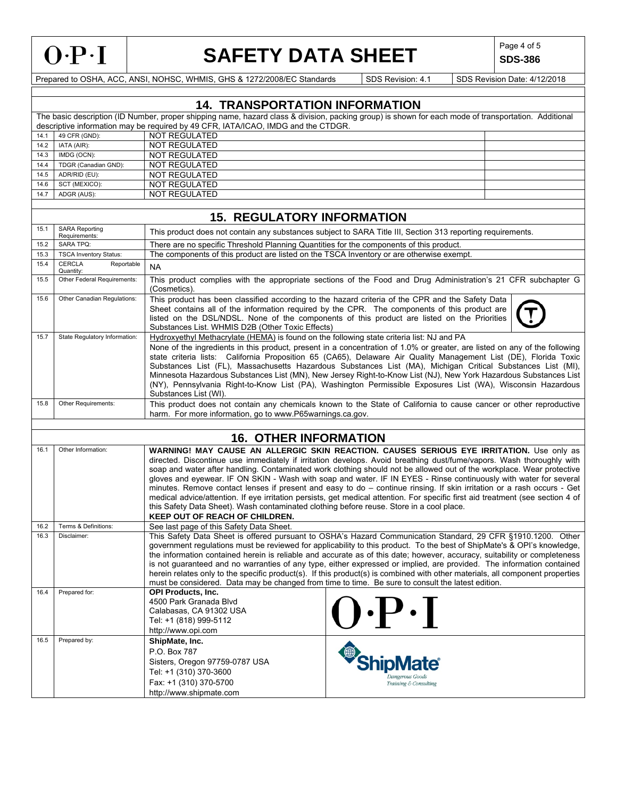

# SAFETY DATA SHEET SDS-386

**SDS-386** 

|              |                                                                                                                                                                                                                                                                                                                                                                                                                                                                                                                                                                                                                                                                                                                                                                                                                                                                                        | <b>14. TRANSPORTATION INFORMATION</b>                                                                                                                                                                                                                                                                                                                                                                                                                                                                                                                                                                                                                                                                                               |                                                                                                                                                                                                                                                                                                  |  |  |  |  |
|--------------|----------------------------------------------------------------------------------------------------------------------------------------------------------------------------------------------------------------------------------------------------------------------------------------------------------------------------------------------------------------------------------------------------------------------------------------------------------------------------------------------------------------------------------------------------------------------------------------------------------------------------------------------------------------------------------------------------------------------------------------------------------------------------------------------------------------------------------------------------------------------------------------|-------------------------------------------------------------------------------------------------------------------------------------------------------------------------------------------------------------------------------------------------------------------------------------------------------------------------------------------------------------------------------------------------------------------------------------------------------------------------------------------------------------------------------------------------------------------------------------------------------------------------------------------------------------------------------------------------------------------------------------|--------------------------------------------------------------------------------------------------------------------------------------------------------------------------------------------------------------------------------------------------------------------------------------------------|--|--|--|--|
|              |                                                                                                                                                                                                                                                                                                                                                                                                                                                                                                                                                                                                                                                                                                                                                                                                                                                                                        |                                                                                                                                                                                                                                                                                                                                                                                                                                                                                                                                                                                                                                                                                                                                     | The basic description (ID Number, proper shipping name, hazard class & division, packing group) is shown for each mode of transportation. Additional                                                                                                                                             |  |  |  |  |
|              |                                                                                                                                                                                                                                                                                                                                                                                                                                                                                                                                                                                                                                                                                                                                                                                                                                                                                        | descriptive information may be required by 49 CFR, IATA/ICAO, IMDG and the CTDGR.                                                                                                                                                                                                                                                                                                                                                                                                                                                                                                                                                                                                                                                   |                                                                                                                                                                                                                                                                                                  |  |  |  |  |
| 14.1<br>14.2 | 49 CFR (GND):                                                                                                                                                                                                                                                                                                                                                                                                                                                                                                                                                                                                                                                                                                                                                                                                                                                                          | <b>NOT REGULATED</b>                                                                                                                                                                                                                                                                                                                                                                                                                                                                                                                                                                                                                                                                                                                |                                                                                                                                                                                                                                                                                                  |  |  |  |  |
| 14.3         | IATA (AIR):<br>IMDG (OCN):                                                                                                                                                                                                                                                                                                                                                                                                                                                                                                                                                                                                                                                                                                                                                                                                                                                             | NOT REGULATED<br><b>NOT REGULATED</b>                                                                                                                                                                                                                                                                                                                                                                                                                                                                                                                                                                                                                                                                                               |                                                                                                                                                                                                                                                                                                  |  |  |  |  |
| 14.4         | TDGR (Canadian GND):                                                                                                                                                                                                                                                                                                                                                                                                                                                                                                                                                                                                                                                                                                                                                                                                                                                                   | NOT REGULATED                                                                                                                                                                                                                                                                                                                                                                                                                                                                                                                                                                                                                                                                                                                       |                                                                                                                                                                                                                                                                                                  |  |  |  |  |
| 14.5         | ADR/RID (EU):                                                                                                                                                                                                                                                                                                                                                                                                                                                                                                                                                                                                                                                                                                                                                                                                                                                                          | <b>NOT REGULATED</b>                                                                                                                                                                                                                                                                                                                                                                                                                                                                                                                                                                                                                                                                                                                |                                                                                                                                                                                                                                                                                                  |  |  |  |  |
| 14.6         | SCT (MEXICO):                                                                                                                                                                                                                                                                                                                                                                                                                                                                                                                                                                                                                                                                                                                                                                                                                                                                          | <b>NOT REGULATED</b>                                                                                                                                                                                                                                                                                                                                                                                                                                                                                                                                                                                                                                                                                                                |                                                                                                                                                                                                                                                                                                  |  |  |  |  |
| 14.7         | ADGR (AUS):                                                                                                                                                                                                                                                                                                                                                                                                                                                                                                                                                                                                                                                                                                                                                                                                                                                                            | <b>NOT REGULATED</b>                                                                                                                                                                                                                                                                                                                                                                                                                                                                                                                                                                                                                                                                                                                |                                                                                                                                                                                                                                                                                                  |  |  |  |  |
|              |                                                                                                                                                                                                                                                                                                                                                                                                                                                                                                                                                                                                                                                                                                                                                                                                                                                                                        |                                                                                                                                                                                                                                                                                                                                                                                                                                                                                                                                                                                                                                                                                                                                     |                                                                                                                                                                                                                                                                                                  |  |  |  |  |
|              |                                                                                                                                                                                                                                                                                                                                                                                                                                                                                                                                                                                                                                                                                                                                                                                                                                                                                        | <b>15. REGULATORY INFORMATION</b>                                                                                                                                                                                                                                                                                                                                                                                                                                                                                                                                                                                                                                                                                                   |                                                                                                                                                                                                                                                                                                  |  |  |  |  |
| 15.1         | <b>SARA Reporting</b><br>Requirements:                                                                                                                                                                                                                                                                                                                                                                                                                                                                                                                                                                                                                                                                                                                                                                                                                                                 |                                                                                                                                                                                                                                                                                                                                                                                                                                                                                                                                                                                                                                                                                                                                     | This product does not contain any substances subject to SARA Title III, Section 313 reporting requirements.                                                                                                                                                                                      |  |  |  |  |
| 15.2         | <b>SARA TPQ:</b>                                                                                                                                                                                                                                                                                                                                                                                                                                                                                                                                                                                                                                                                                                                                                                                                                                                                       | There are no specific Threshold Planning Quantities for the components of this product.                                                                                                                                                                                                                                                                                                                                                                                                                                                                                                                                                                                                                                             |                                                                                                                                                                                                                                                                                                  |  |  |  |  |
| 15.3         | <b>TSCA Inventory Status:</b>                                                                                                                                                                                                                                                                                                                                                                                                                                                                                                                                                                                                                                                                                                                                                                                                                                                          | The components of this product are listed on the TSCA Inventory or are otherwise exempt.                                                                                                                                                                                                                                                                                                                                                                                                                                                                                                                                                                                                                                            |                                                                                                                                                                                                                                                                                                  |  |  |  |  |
| 15.4         | <b>CERCLA</b><br>Reportable<br>Quantity:                                                                                                                                                                                                                                                                                                                                                                                                                                                                                                                                                                                                                                                                                                                                                                                                                                               | <b>NA</b>                                                                                                                                                                                                                                                                                                                                                                                                                                                                                                                                                                                                                                                                                                                           |                                                                                                                                                                                                                                                                                                  |  |  |  |  |
| 15.5         | Other Federal Requirements:                                                                                                                                                                                                                                                                                                                                                                                                                                                                                                                                                                                                                                                                                                                                                                                                                                                            | (Cosmetics).                                                                                                                                                                                                                                                                                                                                                                                                                                                                                                                                                                                                                                                                                                                        | This product complies with the appropriate sections of the Food and Drug Administration's 21 CFR subchapter G                                                                                                                                                                                    |  |  |  |  |
| 15.6         | Other Canadian Regulations:                                                                                                                                                                                                                                                                                                                                                                                                                                                                                                                                                                                                                                                                                                                                                                                                                                                            | Substances List. WHMIS D2B (Other Toxic Effects)                                                                                                                                                                                                                                                                                                                                                                                                                                                                                                                                                                                                                                                                                    | This product has been classified according to the hazard criteria of the CPR and the Safety Data<br>Sheet contains all of the information required by the CPR. The components of this product are<br>listed on the DSL/NDSL. None of the components of this product are listed on the Priorities |  |  |  |  |
| 15.7         | State Regulatory Information:                                                                                                                                                                                                                                                                                                                                                                                                                                                                                                                                                                                                                                                                                                                                                                                                                                                          | Hydroxyethyl Methacrylate (HEMA) is found on the following state criteria list: NJ and PA<br>None of the ingredients in this product, present in a concentration of 1.0% or greater, are listed on any of the following<br>state criteria lists: California Proposition 65 (CA65), Delaware Air Quality Management List (DE), Florida Toxic<br>Substances List (FL), Massachusetts Hazardous Substances List (MA), Michigan Critical Substances List (MI),<br>Minnesota Hazardous Substances List (MN), New Jersey Right-to-Know List (NJ), New York Hazardous Substances List<br>(NY), Pennsylvania Right-to-Know List (PA), Washington Permissible Exposures List (WA), Wisconsin Hazardous                                       |                                                                                                                                                                                                                                                                                                  |  |  |  |  |
| 15.8         | Other Requirements:                                                                                                                                                                                                                                                                                                                                                                                                                                                                                                                                                                                                                                                                                                                                                                                                                                                                    | Substances List (WI).<br>harm. For more information, go to www.P65warnings.ca.gov.                                                                                                                                                                                                                                                                                                                                                                                                                                                                                                                                                                                                                                                  | This product does not contain any chemicals known to the State of California to cause cancer or other reproductive                                                                                                                                                                               |  |  |  |  |
|              |                                                                                                                                                                                                                                                                                                                                                                                                                                                                                                                                                                                                                                                                                                                                                                                                                                                                                        |                                                                                                                                                                                                                                                                                                                                                                                                                                                                                                                                                                                                                                                                                                                                     |                                                                                                                                                                                                                                                                                                  |  |  |  |  |
|              |                                                                                                                                                                                                                                                                                                                                                                                                                                                                                                                                                                                                                                                                                                                                                                                                                                                                                        | <b>16. OTHER INFORMATION</b>                                                                                                                                                                                                                                                                                                                                                                                                                                                                                                                                                                                                                                                                                                        |                                                                                                                                                                                                                                                                                                  |  |  |  |  |
| 16.1         | Other Information:<br>WARNING! MAY CAUSE AN ALLERGIC SKIN REACTION. CAUSES SERIOUS EYE IRRITATION. Use only as<br>directed. Discontinue use immediately if irritation develops. Avoid breathing dust/fume/vapors. Wash thoroughly with<br>soap and water after handling. Contaminated work clothing should not be allowed out of the workplace. Wear protective<br>gloves and eyewear. IF ON SKIN - Wash with soap and water. IF IN EYES - Rinse continuously with water for several<br>minutes. Remove contact lenses if present and easy to do – continue rinsing. If skin irritation or a rash occurs - Get<br>medical advice/attention. If eve irritation persists, get medical attention. For specific first aid treatment (see section 4 of<br>this Safety Data Sheet). Wash contaminated clothing before reuse. Store in a cool place.<br><b>KEEP OUT OF REACH OF CHILDREN.</b> |                                                                                                                                                                                                                                                                                                                                                                                                                                                                                                                                                                                                                                                                                                                                     |                                                                                                                                                                                                                                                                                                  |  |  |  |  |
| 16.2         | Terms & Definitions:                                                                                                                                                                                                                                                                                                                                                                                                                                                                                                                                                                                                                                                                                                                                                                                                                                                                   | See last page of this Safety Data Sheet.                                                                                                                                                                                                                                                                                                                                                                                                                                                                                                                                                                                                                                                                                            |                                                                                                                                                                                                                                                                                                  |  |  |  |  |
| 16.3         | Disclaimer:                                                                                                                                                                                                                                                                                                                                                                                                                                                                                                                                                                                                                                                                                                                                                                                                                                                                            | This Safety Data Sheet is offered pursuant to OSHA's Hazard Communication Standard, 29 CFR §1910.1200. Other<br>government regulations must be reviewed for applicability to this product. To the best of ShipMate's & OPI's knowledge,<br>the information contained herein is reliable and accurate as of this date; however, accuracy, suitability or completeness<br>is not quaranteed and no warranties of any type, either expressed or implied, are provided. The information contained<br>herein relates only to the specific product(s). If this product(s) is combined with other materials, all component properties<br>must be considered. Data may be changed from time to time. Be sure to consult the latest edition. |                                                                                                                                                                                                                                                                                                  |  |  |  |  |
| 16.4         | Prepared for:                                                                                                                                                                                                                                                                                                                                                                                                                                                                                                                                                                                                                                                                                                                                                                                                                                                                          | <b>OPI Products, Inc.</b><br>4500 Park Granada Blyd<br>Calabasas, CA 91302 USA<br>Tel: +1 (818) 999-5112<br>http://www.opi.com                                                                                                                                                                                                                                                                                                                                                                                                                                                                                                                                                                                                      | $\mathbf{Q} \cdot \mathbf{P} \cdot \mathbf{I}$                                                                                                                                                                                                                                                   |  |  |  |  |
| 16.5         | Prepared by:                                                                                                                                                                                                                                                                                                                                                                                                                                                                                                                                                                                                                                                                                                                                                                                                                                                                           | ShipMate, Inc.<br>P.O. Box 787<br>Sisters, Oregon 97759-0787 USA<br>Tel: +1 (310) 370-3600<br>Fax: +1 (310) 370-5700<br>http://www.shipmate.com                                                                                                                                                                                                                                                                                                                                                                                                                                                                                                                                                                                     | <b>ShipMate®</b><br>Dangerous Goods<br>Training & Consulting                                                                                                                                                                                                                                     |  |  |  |  |